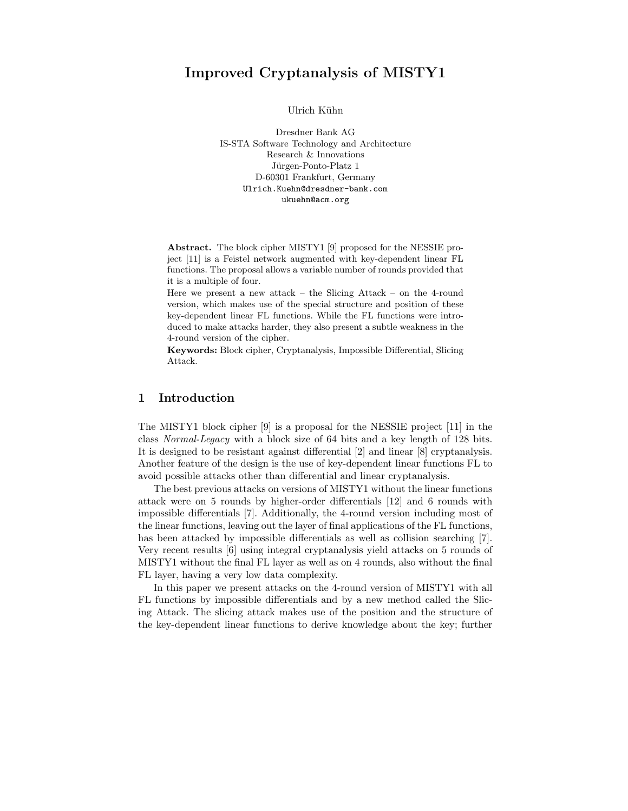# Improved Cryptanalysis of MISTY1

Ulrich Kühn

Dresdner Bank AG IS-STA Software Technology and Architecture Research & Innovations Jürgen-Ponto-Platz 1 D-60301 Frankfurt, Germany Ulrich.Kuehn@dresdner-bank.com ukuehn@acm.org

Abstract. The block cipher MISTY1 [9] proposed for the NESSIE project [11] is a Feistel network augmented with key-dependent linear FL functions. The proposal allows a variable number of rounds provided that it is a multiple of four.

Here we present a new attack – the Slicing Attack – on the 4-round version, which makes use of the special structure and position of these key-dependent linear FL functions. While the FL functions were introduced to make attacks harder, they also present a subtle weakness in the 4-round version of the cipher.

Keywords: Block cipher, Cryptanalysis, Impossible Differential, Slicing Attack.

## 1 Introduction

The MISTY1 block cipher [9] is a proposal for the NESSIE project [11] in the class Normal-Legacy with a block size of 64 bits and a key length of 128 bits. It is designed to be resistant against differential [2] and linear [8] cryptanalysis. Another feature of the design is the use of key-dependent linear functions FL to avoid possible attacks other than differential and linear cryptanalysis.

The best previous attacks on versions of MISTY1 without the linear functions attack were on 5 rounds by higher-order differentials [12] and 6 rounds with impossible differentials [7]. Additionally, the 4-round version including most of the linear functions, leaving out the layer of final applications of the FL functions, has been attacked by impossible differentials as well as collision searching [7]. Very recent results [6] using integral cryptanalysis yield attacks on 5 rounds of MISTY1 without the final FL layer as well as on 4 rounds, also without the final FL layer, having a very low data complexity.

In this paper we present attacks on the 4-round version of MISTY1 with all FL functions by impossible differentials and by a new method called the Slicing Attack. The slicing attack makes use of the position and the structure of the key-dependent linear functions to derive knowledge about the key; further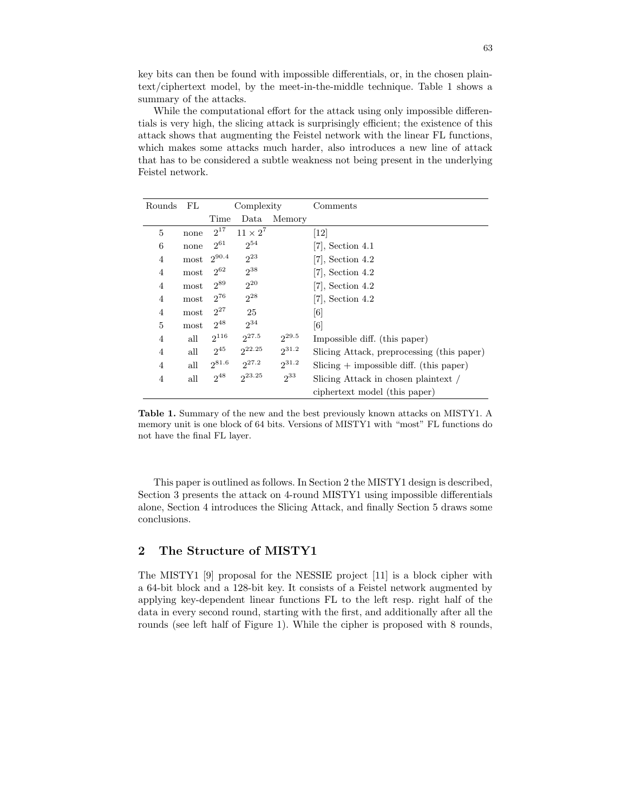key bits can then be found with impossible differentials, or, in the chosen plaintext/ciphertext model, by the meet-in-the-middle technique. Table 1 shows a summary of the attacks.

While the computational effort for the attack using only impossible differentials is very high, the slicing attack is surprisingly efficient; the existence of this attack shows that augmenting the Feistel network with the linear FL functions, which makes some attacks much harder, also introduces a new line of attack that has to be considered a subtle weakness not being present in the underlying Feistel network.

| Rounds         | FL   | Complexity |                 |            | Comments                                                |
|----------------|------|------------|-----------------|------------|---------------------------------------------------------|
|                |      | Time       | Data            | Memory     |                                                         |
| $\overline{5}$ | none | $2^{17}$   | $11 \times 2^7$ |            | $\left[12\right]$                                       |
| 6              | none | $2^{61}$   | $2^{54}$        |            | $[7]$ , Section 4.1                                     |
| 4              | most | $2^{90.4}$ | $2^{23}$        |            | $[7]$ , Section 4.2                                     |
| 4              | most | $2^{62}$   | $2^{38}$        |            | $[7]$ , Section 4.2                                     |
| 4              | most | $2^{89}$   | $2^{20}$        |            | $[7]$ , Section 4.2                                     |
| 4              | most | $2^{76}$   | $2^{28}$        |            | $[7]$ , Section 4.2                                     |
| 4              | most | $2^{27}$   | 25              |            | [6]                                                     |
| 5              | most | $2^{48}$   | $2^{34}$        |            | $\lceil 6 \rceil$                                       |
| 4              | all  | $2^{116}$  | $2^{27.5}$      | $2^{29.5}$ | Impossible diff. (this paper)                           |
| 4              | all  | $2^{45}$   | $2^{22.25}$     | $2^{31.2}$ | Slicing Attack, preprocessing (this paper)              |
| 4              | all  | $2^{81.6}$ | $2^{27.2}$      | $2^{31.2}$ | $\text{Slicing} + \text{impossible diff.}$ (this paper) |
| 4              | all  | $2^{48}$   | $2^{23.25}$     | $2^{33}$   | Slicing Attack in chosen plaintext /                    |
|                |      |            |                 |            | ciphertext model (this paper)                           |

Table 1. Summary of the new and the best previously known attacks on MISTY1. A memory unit is one block of 64 bits. Versions of MISTY1 with "most" FL functions do not have the final FL layer.

This paper is outlined as follows. In Section 2 the MISTY1 design is described, Section 3 presents the attack on 4-round MISTY1 using impossible differentials alone, Section 4 introduces the Slicing Attack, and finally Section 5 draws some conclusions.

### The Structure of MISTY1

The MISTY1 [9] proposal for the NESSIE project [11] is a block cipher with a 64-bit block and a 128-bit key. It consists of a Feistel network augmented by applying key-dependent linear functions FL to the left resp. right half of the data in every second round, starting with the first, and additionally after all the rounds (see left half of Figure 1). While the cipher is proposed with 8 rounds,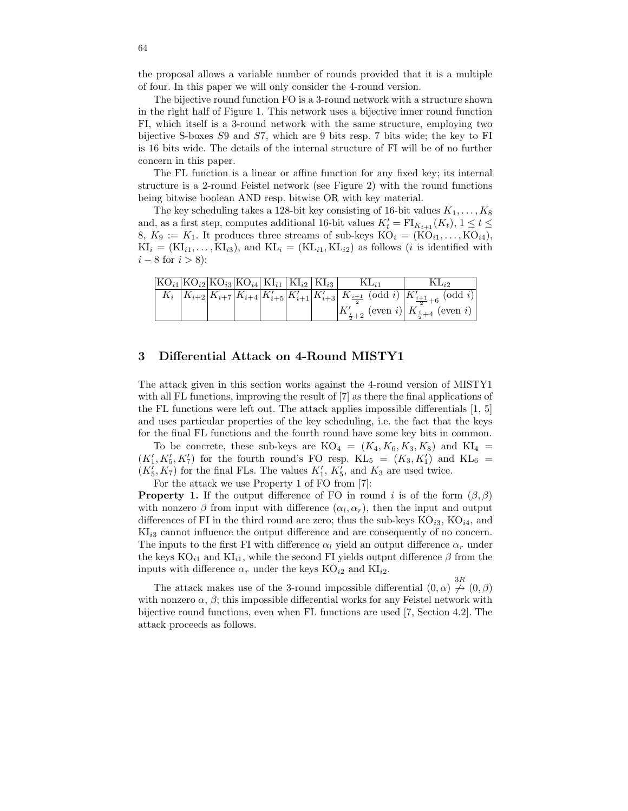the proposal allows a variable number of rounds provided that it is a multiple of four. In this paper we will only consider the 4-round version.

The bijective round function FO is a 3-round network with a structure shown in the right half of Figure 1. This network uses a bijective inner round function FI, which itself is a 3-round network with the same structure, employing two bijective S-boxes S9 and S7, which are 9 bits resp. 7 bits wide; the key to FI is 16 bits wide. The details of the internal structure of FI will be of no further concern in this paper.

The FL function is a linear or affine function for any fixed key; its internal structure is a 2-round Feistel network (see Figure 2) with the round functions being bitwise boolean AND resp. bitwise OR with key material.

The key scheduling takes a 128-bit key consisting of 16-bit values  $K_1, \ldots, K_8$ and, as a first step, computes additional 16-bit values  $K_t' = \mathrm{FI}_{K_{t+1}}(K_t)$ ,  $1 \le t \le$ 8,  $K_9 := K_1$ . It produces three streams of sub-keys  $KO_i = (KO_{i1}, \ldots, KO_{i4}),$  $KI_i = (KI_{i1}, \ldots, KI_{i3}),$  and  $KL_i = (KL_{i1}, KL_{i2})$  as follows (*i* is identified with  $i - 8$  for  $i > 8$ ):

| $ KO_{i1} KO_{i2} KO_{i3} KO_{i4} KI_{i1} KI_{i2} KI_{i3} $ |  |  |  |                                                                                                                                          |
|-------------------------------------------------------------|--|--|--|------------------------------------------------------------------------------------------------------------------------------------------|
|                                                             |  |  |  | $K_i$ $K_{i+2}K_{i+7}K_{i+4}K'_{i+5}K'_{i+1}K'_{i+3}K'_{i+3}$ $K_{\frac{i+1}{2}}$ (odd <i>i</i> ) $K'_{\frac{i+1}{2}+6}$ (odd <i>i</i> ) |
|                                                             |  |  |  | $K'_{\frac{i}{2}+2}$ (even i) $K_{\frac{i}{2}+4}$ (even i)                                                                               |

### 3 Differential Attack on 4-Round MISTY1

The attack given in this section works against the 4-round version of MISTY1 with all FL functions, improving the result of [7] as there the final applications of the FL functions were left out. The attack applies impossible differentials  $[1, 5]$ and uses particular properties of the key scheduling, i.e. the fact that the keys for the final FL functions and the fourth round have some key bits in common.

To be concrete, these sub-keys are  $KO_4 = (K_4, K_6, K_3, K_8)$  and  $KI_4 =$  $(K'_1, K'_5, K'_7)$  for the fourth round's FO resp.  $KL_5 = (K_3, K'_1)$  and  $KL_6 =$  $(K'_5,K_7)$  for the final FLs. The values  $K'_1,\,K'_5,$  and  $K_3$  are used twice.

For the attack we use Property 1 of FO from [7]:

**Property 1.** If the output difference of FO in round i is of the form  $(\beta, \beta)$ with nonzero  $\beta$  from input with difference  $(\alpha_l, \alpha_r)$ , then the input and output differences of FI in the third round are zero; thus the sub-keys  $KO_{i3}$ ,  $KO_{i4}$ , and  $KI_{i3}$  cannot influence the output difference and are consequently of no concern. The inputs to the first FI with difference  $\alpha_l$  yield an output difference  $\alpha_r$  under the keys  $KO_{i1}$  and  $KI_{i1}$ , while the second FI yields output difference  $\beta$  from the inputs with difference  $\alpha_r$  under the keys KO<sub>i2</sub> and KI<sub>i2</sub>.

The attack makes use of the 3-round impossible differential  $(0, \alpha) \stackrel{3R}{\nrightarrow} (0, \beta)$ with nonzero  $\alpha$ ,  $\beta$ ; this impossible differential works for any Feistel network with bijective round functions, even when FL functions are used [7, Section 4.2]. The attack proceeds as follows.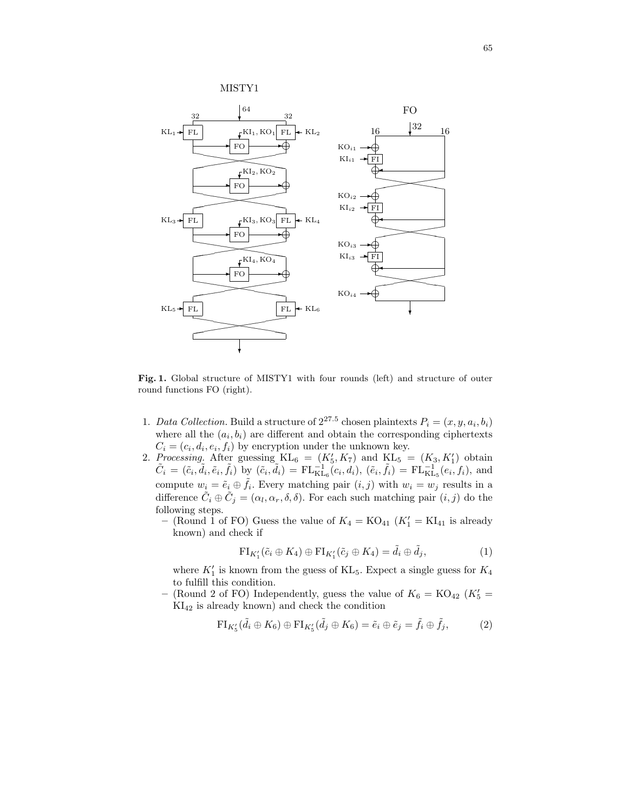MISTY1



Fig. 1. Global structure of MISTY1 with four rounds (left) and structure of outer round functions FO (right).

- 1. Data Collection. Build a structure of  $2^{27.5}$  chosen plaintexts  $P_i = (x, y, a_i, b_i)$ where all the  $(a_i, b_i)$  are different and obtain the corresponding ciphertexts  $C_i = (c_i, d_i, e_i, f_i)$  by encryption under the unknown key.
- 2. Processing. After guessing  $KL_6 = (K_5, K_7)$  and  $KL_5 = (K_3, K_1')$  obtain  $\tilde{C}_i = (\tilde{c}_i, \tilde{d}_i, \tilde{e}_i, \tilde{f}_i)$  by  $(\tilde{c}_i, \tilde{d}_i) = \text{FL}_{\text{KL}_6}^{-1}(c_i, d_i), (\tilde{e}_i, \tilde{f}_i) = \text{FL}_{\text{KL}_5}^{-1}(e_i, f_i)$ , and compute  $w_i = \tilde{e}_i \oplus \tilde{f}_i$ . Every matching pair  $(i, j)$  with  $w_i = w_j$  results in a difference  $\tilde{C}_i \oplus \tilde{C}_j = (\alpha_l, \alpha_r, \delta, \delta)$ . For each such matching pair  $(i, j)$  do the following steps.
	- (Round 1 of FO) Guess the value of  $K_4 = KO_{41}$  ( $K'_1 = KI_{41}$  is already known) and check if

$$
\mathrm{FI}_{K_1'}(\tilde{c}_i \oplus K_4) \oplus \mathrm{FI}_{K_1'}(\tilde{c}_j \oplus K_4) = \tilde{d}_i \oplus \tilde{d}_j,
$$
\n(1)

where  $K_1'$  is known from the guess of KL<sub>5</sub>. Expect a single guess for  $K_4$ to fulfill this condition.

– (Round 2 of FO) Independently, guess the value of  $K_6 = \text{KO}_{42}$  ( $K_5'$  = KI<sup>42</sup> is already known) and check the condition

$$
\mathrm{FI}_{K_5'}(\tilde{d}_i \oplus K_6) \oplus \mathrm{FI}_{K_5'}(\tilde{d}_j \oplus K_6) = \tilde{e}_i \oplus \tilde{e}_j = \tilde{f}_i \oplus \tilde{f}_j,\tag{2}
$$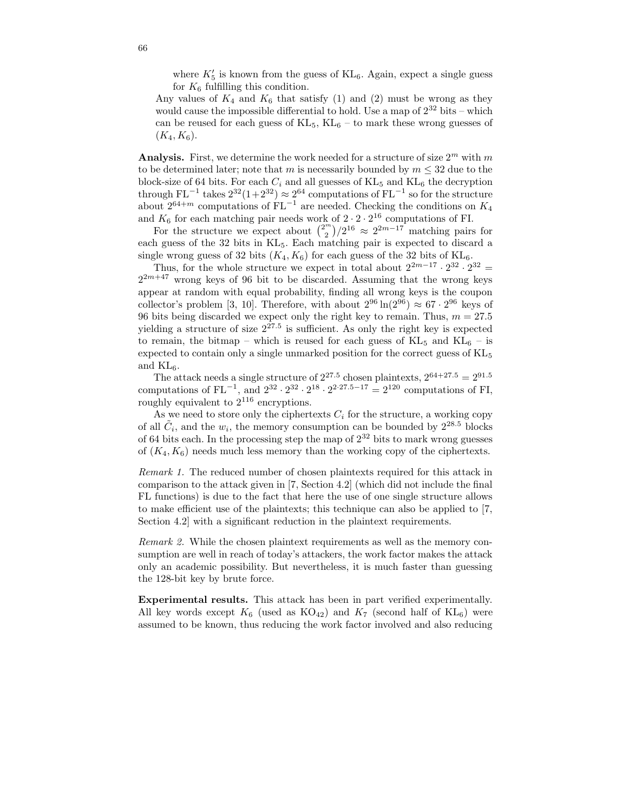where  $K_5'$  is known from the guess of KL<sub>6</sub>. Again, expect a single guess for  $K_6$  fulfilling this condition.

Any values of  $K_4$  and  $K_6$  that satisfy (1) and (2) must be wrong as they would cause the impossible differential to hold. Use a map of  $2^{32}$  bits – which can be reused for each guess of  $KL_5$ ,  $KL_6$  – to mark these wrong guesses of  $(K_4, K_6).$ 

Analysis. First, we determine the work needed for a structure of size  $2^m$  with m to be determined later; note that m is necessarily bounded by  $m \leq 32$  due to the block-size of 64 bits. For each  $C_i$  and all guesses of  $KL_5$  and  $KL_6$  the decryption through  $FL^{-1}$  takes  $2^{32}(1+2^{32}) \approx 2^{64}$  computations of  $FL^{-1}$  so for the structure about  $2^{64+m}$  computations of  $FL^{-1}$  are needed. Checking the conditions on  $K_4$ and  $K_6$  for each matching pair needs work of  $2 \cdot 2 \cdot 2^{16}$  computations of FI.

For the structure we expect about  $\binom{2^m}{2}/2^{16} \approx 2^{2m-17}$  matching pairs for each guess of the 32 bits in KL5. Each matching pair is expected to discard a single wrong guess of 32 bits  $(K_4, K_6)$  for each guess of the 32 bits of  $KL_6$ .

Thus, for the whole structure we expect in total about  $2^{2m-17} \cdot 2^{32} \cdot 2^{32} =$  $2^{2m+47}$  wrong keys of 96 bit to be discarded. Assuming that the wrong keys appear at random with equal probability, finding all wrong keys is the coupon collector's problem [3, 10]. Therefore, with about  $2^{96} \ln(2^{96}) \approx 67 \cdot 2^{96}$  keys of 96 bits being discarded we expect only the right key to remain. Thus,  $m = 27.5$ yielding a structure of size  $2^{27.5}$  is sufficient. As only the right key is expected to remain, the bitmap – which is reused for each guess of  $KL_5$  and  $KL_6$  – is expected to contain only a single unmarked position for the correct guess of  $KL_5$ and  $KL_6$ .

The attack needs a single structure of  $2^{27.5}$  chosen plaintexts,  $2^{64+27.5} = 2^{91.5}$ computations of  $FL^{-1}$ , and  $2^{32} \cdot 2^{32} \cdot 2^{18} \cdot 2^{2 \cdot 27 \cdot 5 - 17} = 2^{120}$  computations of FI, roughly equivalent to  $2^{116}$  encryptions.

As we need to store only the ciphertexts  $C_i$  for the structure, a working copy of all  $\tilde{C}_i$ , and the  $w_i$ , the memory consumption can be bounded by  $2^{28.5}$  blocks of 64 bits each. In the processing step the map of  $2^{32}$  bits to mark wrong guesses of  $(K_4, K_6)$  needs much less memory than the working copy of the ciphertexts.

Remark 1. The reduced number of chosen plaintexts required for this attack in comparison to the attack given in [7, Section 4.2] (which did not include the final FL functions) is due to the fact that here the use of one single structure allows to make efficient use of the plaintexts; this technique can also be applied to [7, Section 4.2] with a significant reduction in the plaintext requirements.

Remark 2. While the chosen plaintext requirements as well as the memory consumption are well in reach of today's attackers, the work factor makes the attack only an academic possibility. But nevertheless, it is much faster than guessing the 128-bit key by brute force.

Experimental results. This attack has been in part verified experimentally. All key words except  $K_6$  (used as  $KO_{42}$ ) and  $K_7$  (second half of  $KL_6$ ) were assumed to be known, thus reducing the work factor involved and also reducing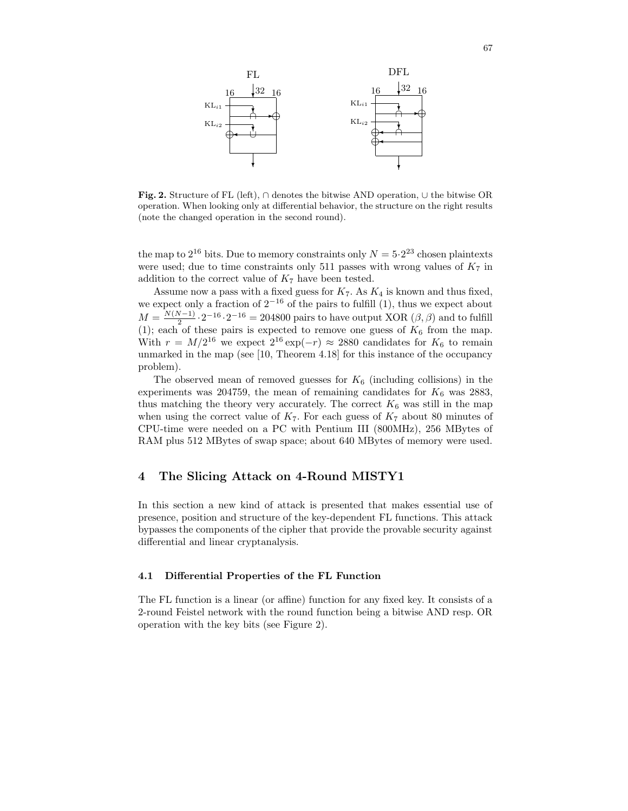

Fig. 2. Structure of FL (left), ∩ denotes the bitwise AND operation,  $\cup$  the bitwise OR operation. When looking only at differential behavior, the structure on the right results (note the changed operation in the second round).

the map to  $2^{16}$  bits. Due to memory constraints only  $N = 5 \cdot 2^{23}$  chosen plaintexts were used; due to time constraints only 511 passes with wrong values of  $K_7$  in addition to the correct value of  $K_7$  have been tested.

Assume now a pass with a fixed guess for  $K_7$ . As  $K_4$  is known and thus fixed, we expect only a fraction of  $2^{-16}$  of the pairs to fulfill (1), thus we expect about  $M = \frac{N(N-1)}{2}$  $\frac{2^{N-1}}{2} \cdot 2^{-16} \cdot 2^{-16} = 204800$  pairs to have output XOR  $(\beta, \beta)$  and to fulfill (1); each of these pairs is expected to remove one guess of  $K_6$  from the map. With  $r = M/2^{16}$  we expect  $2^{16} \exp(-r) \approx 2880$  candidates for  $K_6$  to remain unmarked in the map (see [10, Theorem 4.18] for this instance of the occupancy problem).

The observed mean of removed guesses for  $K_6$  (including collisions) in the experiments was 204759, the mean of remaining candidates for  $K_6$  was 2883, thus matching the theory very accurately. The correct  $K_6$  was still in the map when using the correct value of  $K_7$ . For each guess of  $K_7$  about 80 minutes of CPU-time were needed on a PC with Pentium III (800MHz), 256 MBytes of RAM plus 512 MBytes of swap space; about 640 MBytes of memory were used.

### 4 The Slicing Attack on 4-Round MISTY1

In this section a new kind of attack is presented that makes essential use of presence, position and structure of the key-dependent FL functions. This attack bypasses the components of the cipher that provide the provable security against differential and linear cryptanalysis.

#### 4.1 Differential Properties of the FL Function

The FL function is a linear (or affine) function for any fixed key. It consists of a 2-round Feistel network with the round function being a bitwise AND resp. OR operation with the key bits (see Figure 2).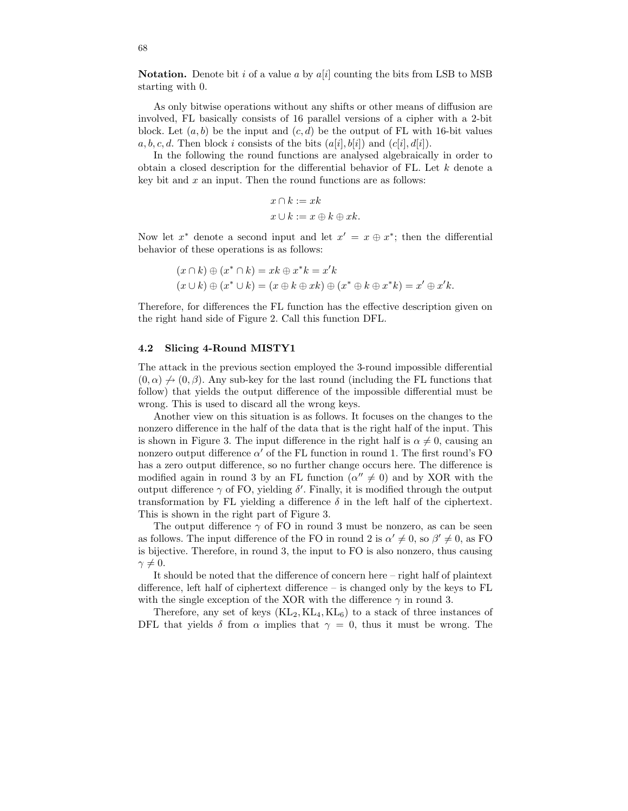**Notation.** Denote bit i of a value a by  $a[i]$  counting the bits from LSB to MSB starting with 0.

As only bitwise operations without any shifts or other means of diffusion are involved, FL basically consists of 16 parallel versions of a cipher with a 2-bit block. Let  $(a, b)$  be the input and  $(c, d)$  be the output of FL with 16-bit values a, b, c, d. Then block i consists of the bits  $(a[i], b[i])$  and  $(c[i], d[i])$ .

In the following the round functions are analysed algebraically in order to obtain a closed description for the differential behavior of FL. Let k denote a key bit and  $x$  an input. Then the round functions are as follows:

$$
x \cap k := xk
$$

$$
x \cup k := x \oplus k \oplus xk.
$$

Now let  $x^*$  denote a second input and let  $x' = x \oplus x^*$ ; then the differential behavior of these operations is as follows:

$$
(x \cap k) \oplus (x^* \cap k) = xk \oplus x^*k = x'k
$$
  

$$
(x \cup k) \oplus (x^* \cup k) = (x \oplus k \oplus xk) \oplus (x^* \oplus k \oplus x^*k) = x' \oplus x'k.
$$

Therefore, for differences the FL function has the effective description given on the right hand side of Figure 2. Call this function DFL.

#### 4.2 Slicing 4-Round MISTY1

The attack in the previous section employed the 3-round impossible differential  $(0, \alpha) \nrightarrow (0, \beta)$ . Any sub-key for the last round (including the FL functions that follow) that yields the output difference of the impossible differential must be wrong. This is used to discard all the wrong keys.

Another view on this situation is as follows. It focuses on the changes to the nonzero difference in the half of the data that is the right half of the input. This is shown in Figure 3. The input difference in the right half is  $\alpha \neq 0$ , causing an nonzero output difference  $\alpha'$  of the FL function in round 1. The first round's FO has a zero output difference, so no further change occurs here. The difference is modified again in round 3 by an FL function  $(\alpha'' \neq 0)$  and by XOR with the output difference  $\gamma$  of FO, yielding  $\delta'$ . Finally, it is modified through the output transformation by FL yielding a difference  $\delta$  in the left half of the ciphertext. This is shown in the right part of Figure 3.

The output difference  $\gamma$  of FO in round 3 must be nonzero, as can be seen as follows. The input difference of the FO in round 2 is  $\alpha' \neq 0$ , so  $\beta' \neq 0$ , as FO is bijective. Therefore, in round 3, the input to FO is also nonzero, thus causing  $\gamma \neq 0.$ 

It should be noted that the difference of concern here – right half of plaintext difference, left half of ciphertext difference – is changed only by the keys to FL with the single exception of the XOR with the difference  $\gamma$  in round 3.

Therefore, any set of keys  $(KL_2, KL_4, KL_6)$  to a stack of three instances of DFL that yields  $\delta$  from  $\alpha$  implies that  $\gamma = 0$ , thus it must be wrong. The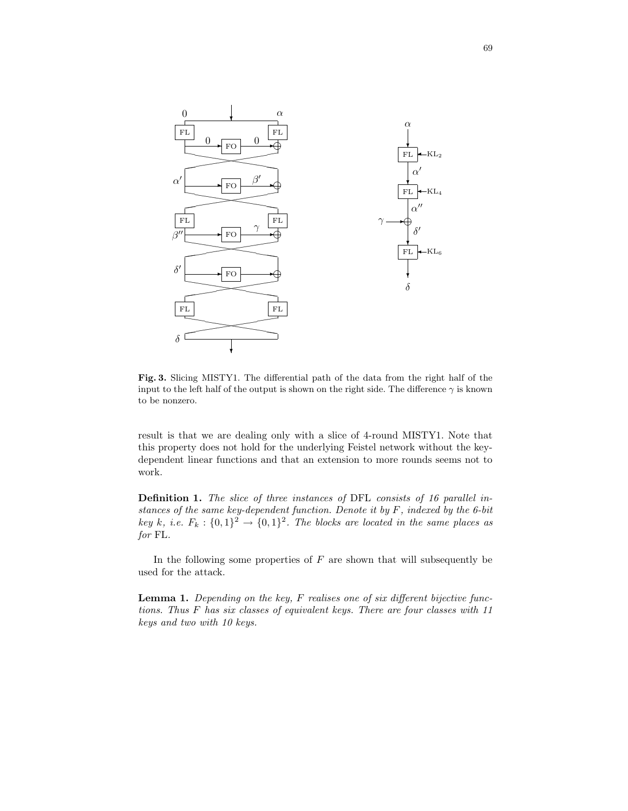

Fig. 3. Slicing MISTY1. The differential path of the data from the right half of the input to the left half of the output is shown on the right side. The difference  $\gamma$  is known to be nonzero.

result is that we are dealing only with a slice of 4-round MISTY1. Note that this property does not hold for the underlying Feistel network without the keydependent linear functions and that an extension to more rounds seems not to work.

Definition 1. The slice of three instances of DFL consists of 16 parallel instances of the same key-dependent function. Denote it by F, indexed by the 6-bit key k, i.e.  $F_k: \{0,1\}^2 \to \{0,1\}^2$ . The blocks are located in the same places as for FL.

In the following some properties of  $F$  are shown that will subsequently be used for the attack.

**Lemma 1.** Depending on the key,  $F$  realises one of six different bijective functions. Thus F has six classes of equivalent keys. There are four classes with 11 keys and two with 10 keys.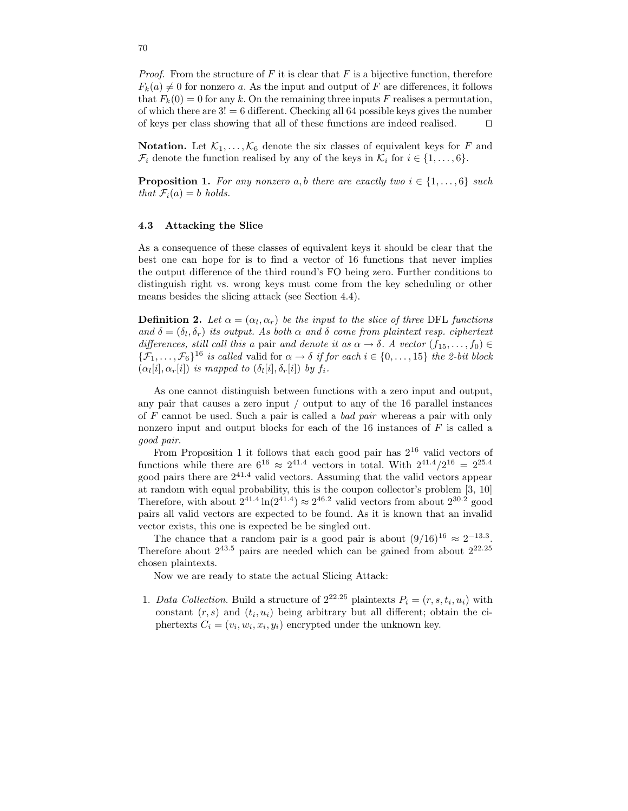*Proof.* From the structure of F it is clear that F is a bijective function, therefore  $F_k(a) \neq 0$  for nonzero a. As the input and output of F are differences, it follows that  $F_k(0) = 0$  for any k. On the remaining three inputs F realises a permutation, of which there are  $3! = 6$  different. Checking all 64 possible keys gives the number of keys per class showing that all of these functions are indeed realised.  $\Box$ 

**Notation.** Let  $\mathcal{K}_1, \ldots, \mathcal{K}_6$  denote the six classes of equivalent keys for F and  $\mathcal{F}_i$  denote the function realised by any of the keys in  $\mathcal{K}_i$  for  $i \in \{1, \ldots, 6\}$ .

**Proposition 1.** For any nonzero a, b there are exactly two  $i \in \{1, \ldots, 6\}$  such that  $\mathcal{F}_i(a) = b$  holds.

#### 4.3 Attacking the Slice

As a consequence of these classes of equivalent keys it should be clear that the best one can hope for is to find a vector of 16 functions that never implies the output difference of the third round's FO being zero. Further conditions to distinguish right vs. wrong keys must come from the key scheduling or other means besides the slicing attack (see Section 4.4).

**Definition 2.** Let  $\alpha = (\alpha_l, \alpha_r)$  be the input to the slice of three DFL functions and  $\delta = (\delta_l, \delta_r)$  its output. As both  $\alpha$  and  $\delta$  come from plaintext resp. ciphertext differences, still call this a pair and denote it as  $\alpha \to \delta$ . A vector  $(f_{15}, \ldots, f_0) \in$  $\{\mathcal{F}_1,\ldots,\mathcal{F}_6\}^{16}$  is called valid for  $\alpha \to \delta$  if for each  $i \in \{0,\ldots,15\}$  the 2-bit block  $(\alpha_l[i], \alpha_r[i])$  is mapped to  $(\delta_l[i], \delta_r[i])$  by  $f_i$ .

As one cannot distinguish between functions with a zero input and output, any pair that causes a zero input / output to any of the 16 parallel instances of F cannot be used. Such a pair is called a bad pair whereas a pair with only nonzero input and output blocks for each of the  $16$  instances of  $F$  is called a good pair.

From Proposition 1 it follows that each good pair has  $2^{16}$  valid vectors of functions while there are  $6^{16} \approx 2^{41.4}$  vectors in total. With  $2^{41.4}/2^{16} = 2^{25.4}$ good pairs there are 2 <sup>41</sup>.<sup>4</sup> valid vectors. Assuming that the valid vectors appear at random with equal probability, this is the coupon collector's problem [3, 10] Therefore, with about  $2^{41.4} \ln(2^{41.4}) \approx 2^{46.2}$  valid vectors from about  $2^{30.2}$  good pairs all valid vectors are expected to be found. As it is known that an invalid vector exists, this one is expected be be singled out.

The chance that a random pair is a good pair is about  $(9/16)^{16} \approx 2^{-13.3}$ . Therefore about  $2^{43.5}$  pairs are needed which can be gained from about  $2^{22.25}$ chosen plaintexts.

Now we are ready to state the actual Slicing Attack:

1. Data Collection. Build a structure of  $2^{22.25}$  plaintexts  $P_i = (r, s, t_i, u_i)$  with constant  $(r, s)$  and  $(t_i, u_i)$  being arbitrary but all different; obtain the ciphertexts  $C_i = (v_i, w_i, x_i, y_i)$  encrypted under the unknown key.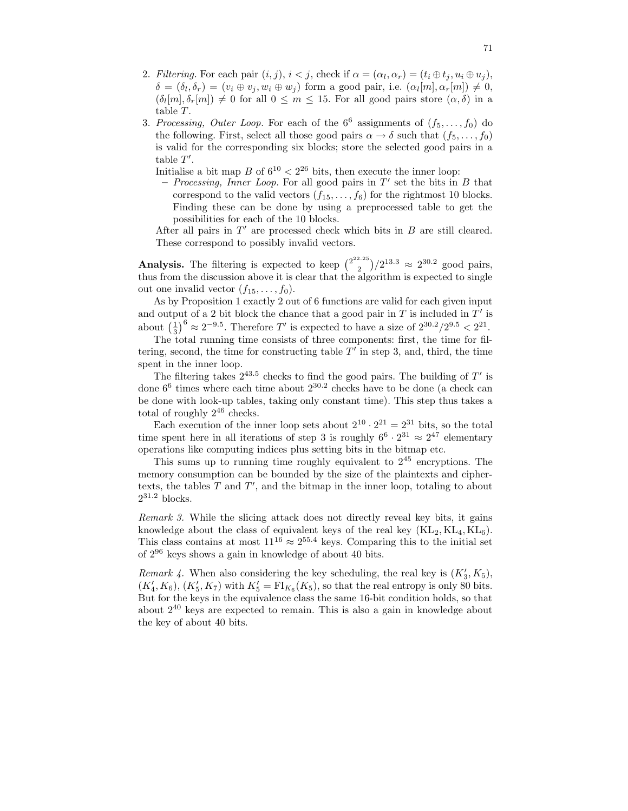- 2. Filtering. For each pair  $(i, j)$ ,  $i < j$ , check if  $\alpha = (\alpha_l, \alpha_r) = (t_i \oplus t_j, u_i \oplus u_j)$ ,  $\delta = (\delta_l, \delta_r) = (v_i \oplus v_j, w_i \oplus w_j)$  form a good pair, i.e.  $(\alpha_l[m], \alpha_r[m]) \neq 0$ ,  $(\delta_l[m], \delta_r[m]) \neq 0$  for all  $0 \leq m \leq 15$ . For all good pairs store  $(\alpha, \delta)$  in a table T.
- 3. Processing, Outer Loop. For each of the  $6^6$  assignments of  $(f_5, \ldots, f_0)$  do the following. First, select all those good pairs  $\alpha \to \delta$  such that  $(f_5, \ldots, f_0)$ is valid for the corresponding six blocks; store the selected good pairs in a table  $T'$ .
	- Initialise a bit map B of  $6^{10} < 2^{26}$  bits, then execute the inner loop:
		- $-$  Processing, Inner Loop. For all good pairs in  $T'$  set the bits in  $B$  that correspond to the valid vectors  $(f_{15}, \ldots, f_6)$  for the rightmost 10 blocks. Finding these can be done by using a preprocessed table to get the possibilities for each of the 10 blocks.

After all pairs in  $T'$  are processed check which bits in  $B$  are still cleared. These correspond to possibly invalid vectors.

**Analysis.** The filtering is expected to keep  $\binom{2^{22.25}}{2}$  $\binom{2^{12.2}}{2}$ /2<sup>13.3</sup>  $\approx$  2<sup>30.2</sup> good pairs, thus from the discussion above it is clear that the algorithm is expected to single out one invalid vector  $(f_{15}, \ldots, f_0)$ .

As by Proposition 1 exactly 2 out of 6 functions are valid for each given input and output of a 2 bit block the chance that a good pair in  $T$  is included in  $T'$  is about  $\left(\frac{1}{3}\right)^6 \approx 2^{-9.5}$ . Therefore T' is expected to have a size of  $2^{30.2}/2^{9.5} < 2^{21}$ .

The total running time consists of three components: first, the time for filtering, second, the time for constructing table  $T'$  in step 3, and, third, the time spent in the inner loop.

The filtering takes  $2^{43.5}$  checks to find the good pairs. The building of  $T'$  is done  $6^6$  times where each time about  $2^{30.2}$  checks have to be done (a check can be done with look-up tables, taking only constant time). This step thus takes a total of roughly  $2^{46}$  checks.

Each execution of the inner loop sets about  $2^{10} \cdot 2^{21} = 2^{31}$  bits, so the total time spent here in all iterations of step 3 is roughly  $6^6 \cdot 2^{31} \approx 2^{47}$  elementary operations like computing indices plus setting bits in the bitmap etc.

This sums up to running time roughly equivalent to  $2^{45}$  encryptions. The memory consumption can be bounded by the size of the plaintexts and ciphertexts, the tables  $T$  and  $T'$ , and the bitmap in the inner loop, totaling to about  $2^{31.2}$  blocks.

Remark 3. While the slicing attack does not directly reveal key bits, it gains knowledge about the class of equivalent keys of the real key  $(KL_2, KL_4, KL_6)$ . This class contains at most  $11^{16} \approx 2^{55.4}$  keys. Comparing this to the initial set of 2 <sup>96</sup> keys shows a gain in knowledge of about 40 bits.

Remark 4. When also considering the key scheduling, the real key is  $(K'_3, K_5)$ ,  $(K'_4, K_6)$ ,  $(K'_5, K_7)$  with  $K'_5 = \mathrm{FI}_{K_6}(K_5)$ , so that the real entropy is only 80 bits. But for the keys in the equivalence class the same 16-bit condition holds, so that about  $2^{40}$  keys are expected to remain. This is also a gain in knowledge about the key of about 40 bits.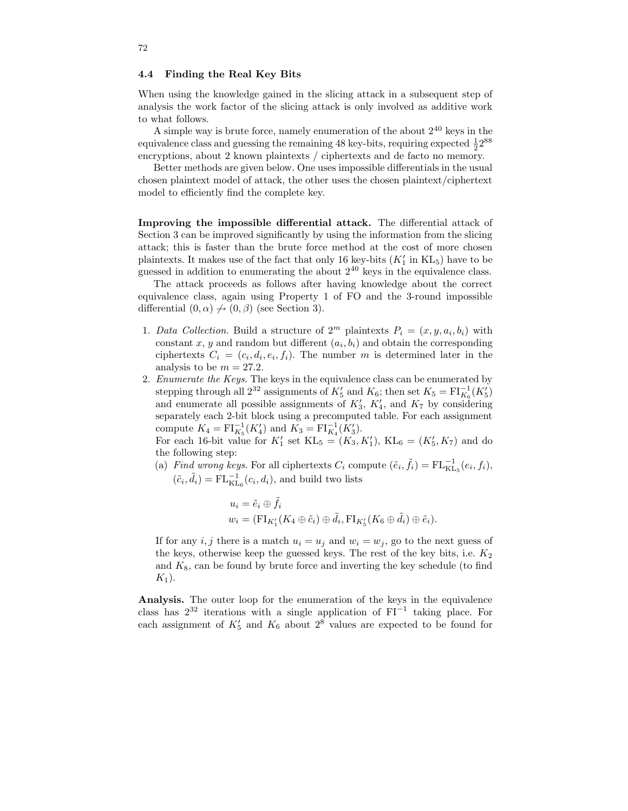#### 4.4 Finding the Real Key Bits

When using the knowledge gained in the slicing attack in a subsequent step of analysis the work factor of the slicing attack is only involved as additive work to what follows.

A simple way is brute force, namely enumeration of the about 2 <sup>40</sup> keys in the equivalence class and guessing the remaining 48 key-bits, requiring expected  $\frac{1}{2}2^{88}$ encryptions, about 2 known plaintexts / ciphertexts and de facto no memory.

Better methods are given below. One uses impossible differentials in the usual chosen plaintext model of attack, the other uses the chosen plaintext/ciphertext model to efficiently find the complete key.

Improving the impossible differential attack. The differential attack of Section 3 can be improved significantly by using the information from the slicing attack; this is faster than the brute force method at the cost of more chosen plaintexts. It makes use of the fact that only 16 key-bits  $(K'_1$  in  $KL_5$ ) have to be guessed in addition to enumerating the about  $2^{40}$  keys in the equivalence class.

The attack proceeds as follows after having knowledge about the correct equivalence class, again using Property 1 of FO and the 3-round impossible differential  $(0, \alpha) \nrightarrow (0, \beta)$  (see Section 3).

- 1. Data Collection. Build a structure of  $2^m$  plaintexts  $P_i = (x, y, a_i, b_i)$  with constant x, y and random but different  $(a_i, b_i)$  and obtain the corresponding ciphertexts  $C_i = (c_i, d_i, e_i, f_i)$ . The number m is determined later in the analysis to be  $m = 27.2$ .
- 2. Enumerate the Keys. The keys in the equivalence class can be enumerated by stepping through all  $2^{32}$  assignments of  $K'_{5}$  and  $K_{6}$ ; then set  $K_{5} = \mathrm{FI}_{K_{6}}^{-1}(K'_{5})$ and enumerate all possible assignments of  $K'_3$ ,  $K'_4$ , and  $K_7$  by considering separately each 2-bit block using a precomputed table. For each assignment compute  $K_4 = \mathrm{FI}_{K_5}^{-1}(K_4')$  and  $K_3 = \mathrm{FI}_{K_4}^{-1}(K_3').$

For each 16-bit value for  $K'_1$  set  $KL_5 = (K_3, K'_1)$ ,  $KL_6 = (K'_5, K_7)$  and do the following step:

(a) Find wrong keys. For all ciphertexts  $C_i$  compute  $(\tilde{e}_i, \tilde{f}_i) = \mathrm{FL}_{\mathrm{KL}_5}^{-1}(e_i, f_i)$ ,  $(\tilde{c}_i, \tilde{d}_i) = \mathrm{FL}_{\mathrm{KL}_6}^{-1}(c_i, d_i)$ , and build two lists

$$
u_i = \tilde{e}_i \oplus \tilde{f}_i
$$
  

$$
w_i = (\mathrm{FI}_{K'_1}(K_4 \oplus \tilde{c}_i) \oplus \tilde{d}_i, \mathrm{FI}_{K'_5}(K_6 \oplus \tilde{d}_i) \oplus \tilde{e}_i).
$$

If for any i, j there is a match  $u_i = u_j$  and  $w_i = w_j$ , go to the next guess of the keys, otherwise keep the guessed keys. The rest of the key bits, i.e.  $K_2$ and  $K_8$ , can be found by brute force and inverting the key schedule (to find  $K_1$ ).

Analysis. The outer loop for the enumeration of the keys in the equivalence class has  $2^{32}$  iterations with a single application of  $FI^{-1}$  taking place. For each assignment of  $K_5'$  and  $K_6$  about  $2^8$  values are expected to be found for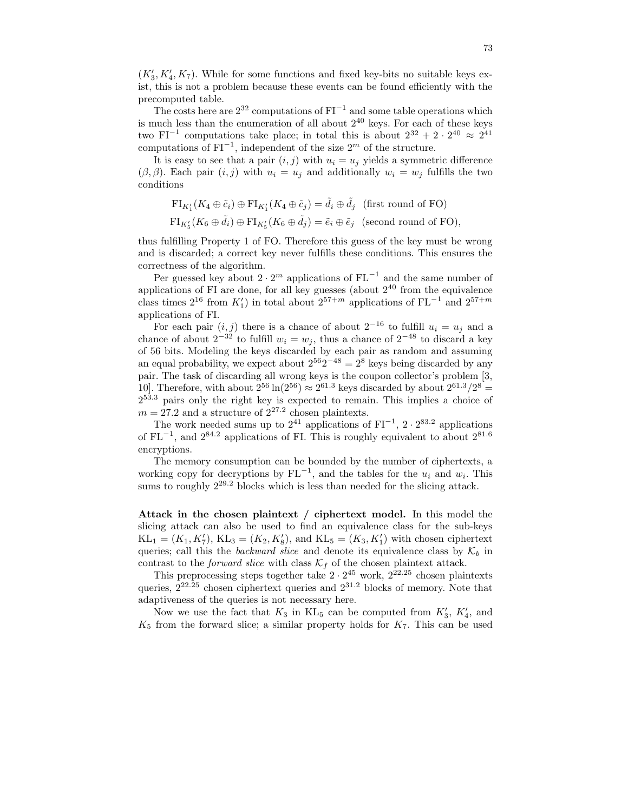$(K_3^\prime, K_4^\prime, K_7).$  While for some functions and fixed key-bits no suitable keys exist, this is not a problem because these events can be found efficiently with the precomputed table.

The costs here are  $2^{32}$  computations of  $FI^{-1}$  and some table operations which is much less than the enumeration of all about  $2^{40}$  keys. For each of these keys two FI<sup>-1</sup> computations take place; in total this is about  $2^{32} + 2 \cdot 2^{40} \approx 2^{41}$ computations of  $\text{FI}^{-1}$ , independent of the size  $2^m$  of the structure.

It is easy to see that a pair  $(i, j)$  with  $u_i = u_j$  yields a symmetric difference  $(\beta, \beta)$ . Each pair  $(i, j)$  with  $u_i = u_j$  and additionally  $w_i = w_j$  fulfills the two conditions

$$
\mathrm{FI}_{K'_1}(K_4 \oplus \tilde{c}_i) \oplus \mathrm{FI}_{K'_1}(K_4 \oplus \tilde{c}_j) = \tilde{d}_i \oplus \tilde{d}_j \quad \text{(first round of FO)}
$$
\n
$$
\mathrm{FI}_{K'_5}(K_6 \oplus \tilde{d}_i) \oplus \mathrm{FI}_{K'_5}(K_6 \oplus \tilde{d}_j) = \tilde{e}_i \oplus \tilde{e}_j \quad \text{(second round of FO)},
$$

thus fulfilling Property 1 of FO. Therefore this guess of the key must be wrong and is discarded; a correct key never fulfills these conditions. This ensures the correctness of the algorithm.

Per guessed key about  $2 \cdot 2^m$  applications of  $FL^{-1}$  and the same number of applications of FI are done, for all key guesses (about 2 <sup>40</sup> from the equivalence class times  $2^{16}$  from  $K_1'$ ) in total about  $2^{57+m}$  applications of  $FL^{-1}$  and  $2^{57+m}$ applications of FI.

For each pair  $(i, j)$  there is a chance of about  $2^{-16}$  to fulfill  $u_i = u_j$  and a chance of about  $2^{-32}$  to fulfill  $w_i = w_j$ , thus a chance of  $2^{-48}$  to discard a key of 56 bits. Modeling the keys discarded by each pair as random and assuming an equal probability, we expect about  $2^{56}2^{-48} = 2^8$  keys being discarded by any pair. The task of discarding all wrong keys is the coupon collector's problem [3, 10. Therefore, with about  $2^{56} \ln(2^{56}) \approx 2^{61.3}$  keys discarded by about  $2^{61.3}/2^8 =$  $2^{53.3}$  pairs only the right key is expected to remain. This implies a choice of  $m = 27.2$  and a structure of  $2^{27.2}$  chosen plaintexts.

The work needed sums up to  $2^{41}$  applications of  $FI^{-1}$ ,  $2 \cdot 2^{83.2}$  applications of  $FL^{-1}$ , and  $2^{84.2}$  applications of FI. This is roughly equivalent to about  $2^{81.6}$ encryptions.

The memory consumption can be bounded by the number of ciphertexts, a working copy for decryptions by  $FL^{-1}$ , and the tables for the  $u_i$  and  $w_i$ . This sums to roughly  $2^{29.2}$  blocks which is less than needed for the slicing attack.

Attack in the chosen plaintext / ciphertext model. In this model the slicing attack can also be used to find an equivalence class for the sub-keys  $KL_1 = (K_1, K'_7), KL_3 = (K_2, K'_8),$  and  $KL_5 = (K_3, K'_1)$  with chosen ciphertext queries; call this the *backward slice* and denote its equivalence class by  $\mathcal{K}_b$  in contrast to the *forward slice* with class  $\mathcal{K}_f$  of the chosen plaintext attack.

This preprocessing steps together take  $2 \cdot 2^{45}$  work,  $2^{22.25}$  chosen plaintexts queries,  $2^{22.25}$  chosen ciphertext queries and  $2^{31.2}$  blocks of memory. Note that adaptiveness of the queries is not necessary here.

Now we use the fact that  $K_3$  in KL<sub>5</sub> can be computed from  $K'_3$ ,  $K'_4$ , and  $K_5$  from the forward slice; a similar property holds for  $K_7$ . This can be used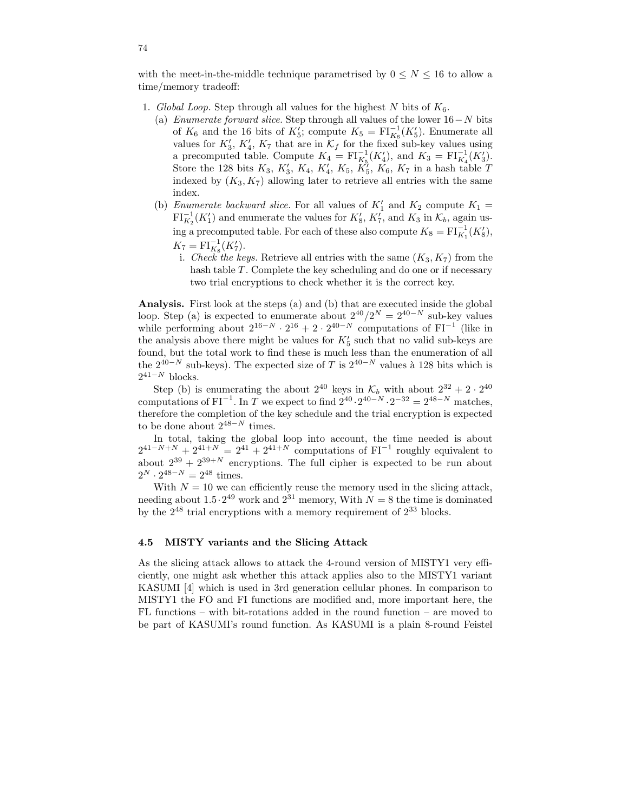with the meet-in-the-middle technique parametrised by  $0 \le N \le 16$  to allow a time/memory tradeoff:

- 1. Global Loop. Step through all values for the highest N bits of  $K_6$ .
	- (a) *Enumerate forward slice.* Step through all values of the lower  $16-N$  bits of  $K_6$  and the 16 bits of  $K'_5$ ; compute  $K_5 = \mathrm{FI}_{K_6}^{-1}(K'_5)$ . Enumerate all values for  $K'_3$ ,  $K'_4$ ,  $K_7$  that are in  $\mathcal{K}_f$  for the fixed sub-key values using a precomputed table. Compute  $K_4 = \mathrm{FI}_{K_5}^{-1}(K_4')$ , and  $K_3 = \mathrm{FI}_{K_4}^{-1}(K_3')$ . Store the 128 bits  $K_3$ ,  $K'_3$ ,  $K_4$ ,  $K'_4$ ,  $K_5$ ,  $K'_5$ ,  $K_6$ ,  $K_7$  in a hash table T indexed by  $(K_3, K_7)$  allowing later to retrieve all entries with the same index.
	- (b) Enumerate backward slice. For all values of  $K'_1$  and  $K_2$  compute  $K_1$  =  $\text{FI}_{K_2}^{-1}(K_1')$  and enumerate the values for  $K_8', K_7',$  and  $K_3$  in  $\mathcal{K}_b$ , again using a precomputed table. For each of these also compute  $K_8 = \mathrm{FI}_{K_1}^{-1}(K_8'),$  $K_7 = \mathrm{FI}_{K_8}^{-1}(K_7').$ 
		- i. Check the keys. Retrieve all entries with the same  $(K_3, K_7)$  from the hash table T. Complete the key scheduling and do one or if necessary two trial encryptions to check whether it is the correct key.

Analysis. First look at the steps (a) and (b) that are executed inside the global loop. Step (a) is expected to enumerate about  $2^{40}/2^N = 2^{40-N}$  sub-key values while performing about  $2^{16-N} \cdot 2^{16} + 2 \cdot 2^{40-N}$  computations of  $FI^{-1}$  (like in the analysis above there might be values for  $K_5'$  such that no valid sub-keys are found, but the total work to find these is much less than the enumeration of all the  $2^{40-N}$  sub-keys). The expected size of T is  $2^{40-N}$  values à 128 bits which is  $2^{41-N}$  blocks.

Step (b) is enumerating the about  $2^{40}$  keys in  $\mathcal{K}_b$  with about  $2^{32} + 2 \cdot 2^{40}$ computations of  $FI^{-1}$ . In T we expect to find  $2^{40} \cdot 2^{40-N} \cdot 2^{-32} = 2^{48-N}$  matches, therefore the completion of the key schedule and the trial encryption is expected to be done about  $2^{48-N}$  times.

In total, taking the global loop into account, the time needed is about  $2^{41-N+N} + 2^{41+N} = 2^{41} + 2^{41+N}$  computations of FI<sup>-1</sup> roughly equivalent to about  $2^{39} + 2^{39+N}$  encryptions. The full cipher is expected to be run about  $2^N \cdot 2^{48-N} = 2^{48}$  times.

With  $N = 10$  we can efficiently reuse the memory used in the slicing attack, needing about  $1.5 \cdot 2^{49}$  work and  $2^{31}$  memory, With  $N = 8$  the time is dominated by the  $2^{48}$  trial encryptions with a memory requirement of  $2^{33}$  blocks.

#### 4.5 MISTY variants and the Slicing Attack

As the slicing attack allows to attack the 4-round version of MISTY1 very efficiently, one might ask whether this attack applies also to the MISTY1 variant KASUMI [4] which is used in 3rd generation cellular phones. In comparison to MISTY1 the FO and FI functions are modified and, more important here, the FL functions – with bit-rotations added in the round function – are moved to be part of KASUMI's round function. As KASUMI is a plain 8-round Feistel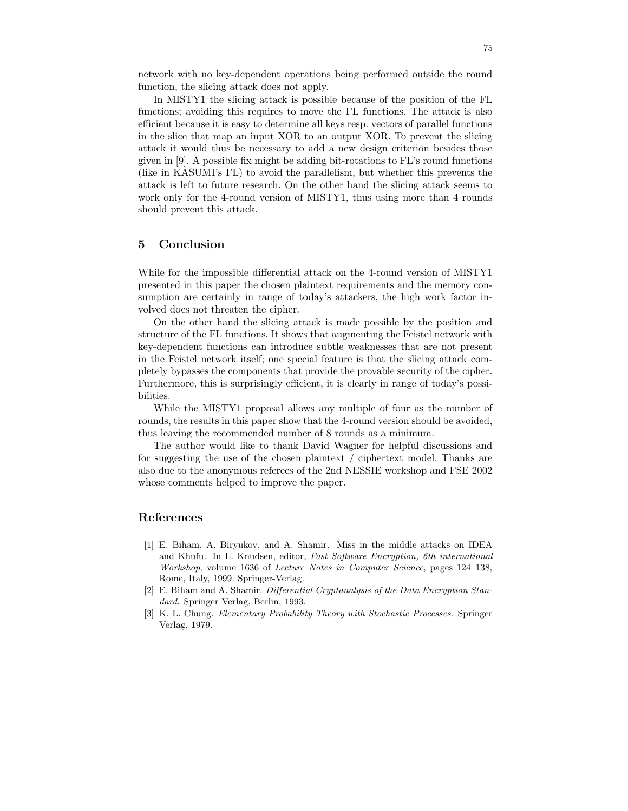network with no key-dependent operations being performed outside the round function, the slicing attack does not apply.

In MISTY1 the slicing attack is possible because of the position of the FL functions; avoiding this requires to move the FL functions. The attack is also efficient because it is easy to determine all keys resp. vectors of parallel functions in the slice that map an input XOR to an output XOR. To prevent the slicing attack it would thus be necessary to add a new design criterion besides those given in [9]. A possible fix might be adding bit-rotations to FL's round functions (like in KASUMI's FL) to avoid the parallelism, but whether this prevents the attack is left to future research. On the other hand the slicing attack seems to work only for the 4-round version of MISTY1, thus using more than 4 rounds should prevent this attack.

### 5 Conclusion

While for the impossible differential attack on the 4-round version of MISTY1 presented in this paper the chosen plaintext requirements and the memory consumption are certainly in range of today's attackers, the high work factor involved does not threaten the cipher.

On the other hand the slicing attack is made possible by the position and structure of the FL functions. It shows that augmenting the Feistel network with key-dependent functions can introduce subtle weaknesses that are not present in the Feistel network itself; one special feature is that the slicing attack completely bypasses the components that provide the provable security of the cipher. Furthermore, this is surprisingly efficient, it is clearly in range of today's possibilities.

While the MISTY1 proposal allows any multiple of four as the number of rounds, the results in this paper show that the 4-round version should be avoided, thus leaving the recommended number of 8 rounds as a minimum.

The author would like to thank David Wagner for helpful discussions and for suggesting the use of the chosen plaintext / ciphertext model. Thanks are also due to the anonymous referees of the 2nd NESSIE workshop and FSE 2002 whose comments helped to improve the paper.

### References

- [1] E. Biham, A. Biryukov, and A. Shamir. Miss in the middle attacks on IDEA and Khufu. In L. Knudsen, editor, Fast Software Encryption, 6th international Workshop, volume 1636 of Lecture Notes in Computer Science, pages 124–138, Rome, Italy, 1999. Springer-Verlag.
- [2] E. Biham and A. Shamir. Differential Cryptanalysis of the Data Encryption Standard. Springer Verlag, Berlin, 1993.
- [3] K. L. Chung. Elementary Probability Theory with Stochastic Processes. Springer Verlag, 1979.